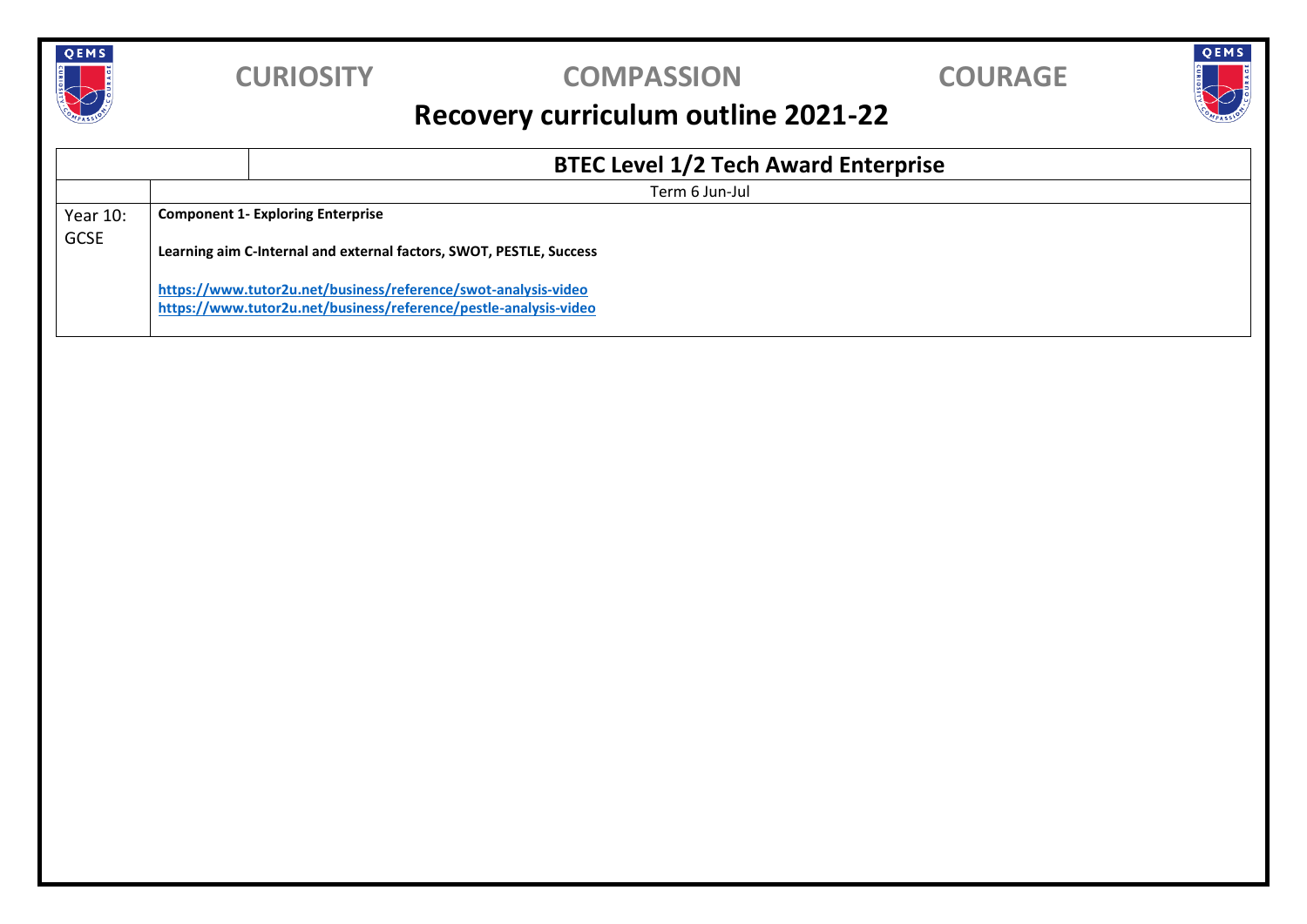

### **CURIOSITY COMPASSION COURAGE**

QEMS

## **Recovery curriculum outline 2021-22**

|                         |                | <b>BTEC Level 1/2 Tech Award Enterprise</b>                                                                                        |  |  |  |
|-------------------------|----------------|------------------------------------------------------------------------------------------------------------------------------------|--|--|--|
|                         | Term 6 Jun-Jul |                                                                                                                                    |  |  |  |
| Year 10:<br><b>GCSE</b> |                | <b>Component 1- Exploring Enterprise</b><br>Learning aim C-Internal and external factors, SWOT, PESTLE, Success                    |  |  |  |
|                         |                | https://www.tutor2u.net/business/reference/swot-analysis-video<br>https://www.tutor2u.net/business/reference/pestle-analysis-video |  |  |  |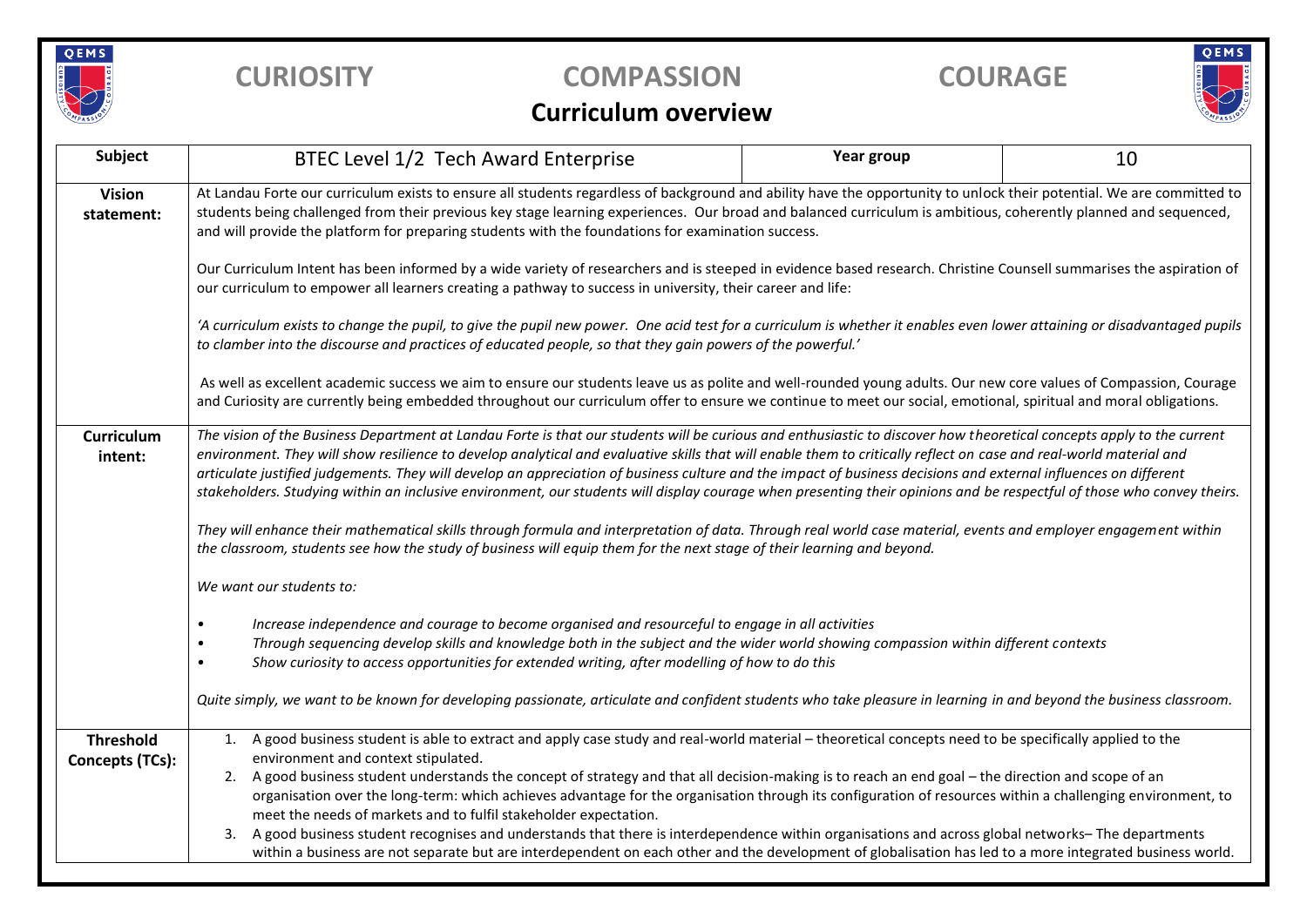

## **CURIOSITY COMPASSION COURAGE**

# QEMS

#### **Curriculum overview**

| Subject                                    | BTEC Level 1/2 Tech Award Enterprise                                                                                                                                                                                                                                                                                                                                                                                                                                                                                                                                                                                                                                                                                                                                                                                                                                                                                  | Year group | 10 |  |  |  |  |  |
|--------------------------------------------|-----------------------------------------------------------------------------------------------------------------------------------------------------------------------------------------------------------------------------------------------------------------------------------------------------------------------------------------------------------------------------------------------------------------------------------------------------------------------------------------------------------------------------------------------------------------------------------------------------------------------------------------------------------------------------------------------------------------------------------------------------------------------------------------------------------------------------------------------------------------------------------------------------------------------|------------|----|--|--|--|--|--|
| <b>Vision</b><br>statement:                | At Landau Forte our curriculum exists to ensure all students regardless of background and ability have the opportunity to unlock their potential. We are committed to<br>students being challenged from their previous key stage learning experiences. Our broad and balanced curriculum is ambitious, coherently planned and sequenced,<br>and will provide the platform for preparing students with the foundations for examination success.                                                                                                                                                                                                                                                                                                                                                                                                                                                                        |            |    |  |  |  |  |  |
|                                            | Our Curriculum Intent has been informed by a wide variety of researchers and is steeped in evidence based research. Christine Counsell summarises the aspiration of<br>our curriculum to empower all learners creating a pathway to success in university, their career and life:                                                                                                                                                                                                                                                                                                                                                                                                                                                                                                                                                                                                                                     |            |    |  |  |  |  |  |
|                                            | 'A curriculum exists to change the pupil, to give the pupil new power. One acid test for a curriculum is whether it enables even lower attaining or disadvantaged pupils<br>to clamber into the discourse and practices of educated people, so that they gain powers of the powerful.'                                                                                                                                                                                                                                                                                                                                                                                                                                                                                                                                                                                                                                |            |    |  |  |  |  |  |
|                                            | As well as excellent academic success we aim to ensure our students leave us as polite and well-rounded young adults. Our new core values of Compassion, Courage<br>and Curiosity are currently being embedded throughout our curriculum offer to ensure we continue to meet our social, emotional, spiritual and moral obligations.                                                                                                                                                                                                                                                                                                                                                                                                                                                                                                                                                                                  |            |    |  |  |  |  |  |
| <b>Curriculum</b><br>intent:               | The vision of the Business Department at Landau Forte is that our students will be curious and enthusiastic to discover how theoretical concepts apply to the current<br>environment. They will show resilience to develop analytical and evaluative skills that will enable them to critically reflect on case and real-world material and<br>articulate justified judgements. They will develop an appreciation of business culture and the impact of business decisions and external influences on different<br>stakeholders. Studying within an inclusive environment, our students will display courage when presenting their opinions and be respectful of those who convey theirs.<br>They will enhance their mathematical skills through formula and interpretation of data. Through real world case material, events and employer engagement within                                                          |            |    |  |  |  |  |  |
|                                            | the classroom, students see how the study of business will equip them for the next stage of their learning and beyond.                                                                                                                                                                                                                                                                                                                                                                                                                                                                                                                                                                                                                                                                                                                                                                                                |            |    |  |  |  |  |  |
|                                            | We want our students to:                                                                                                                                                                                                                                                                                                                                                                                                                                                                                                                                                                                                                                                                                                                                                                                                                                                                                              |            |    |  |  |  |  |  |
|                                            | Increase independence and courage to become organised and resourceful to engage in all activities<br>Through sequencing develop skills and knowledge both in the subject and the wider world showing compassion within different contexts<br>Show curiosity to access opportunities for extended writing, after modelling of how to do this                                                                                                                                                                                                                                                                                                                                                                                                                                                                                                                                                                           |            |    |  |  |  |  |  |
|                                            | Quite simply, we want to be known for developing passionate, articulate and confident students who take pleasure in learning in and beyond the business classroom.                                                                                                                                                                                                                                                                                                                                                                                                                                                                                                                                                                                                                                                                                                                                                    |            |    |  |  |  |  |  |
| <b>Threshold</b><br><b>Concepts (TCs):</b> | A good business student is able to extract and apply case study and real-world material - theoretical concepts need to be specifically applied to the<br>1.<br>environment and context stipulated.<br>A good business student understands the concept of strategy and that all decision-making is to reach an end goal - the direction and scope of an<br>2.<br>organisation over the long-term: which achieves advantage for the organisation through its configuration of resources within a challenging environment, to<br>meet the needs of markets and to fulfil stakeholder expectation.<br>A good business student recognises and understands that there is interdependence within organisations and across global networks-The departments<br>3.<br>within a business are not separate but are interdependent on each other and the development of globalisation has led to a more integrated business world. |            |    |  |  |  |  |  |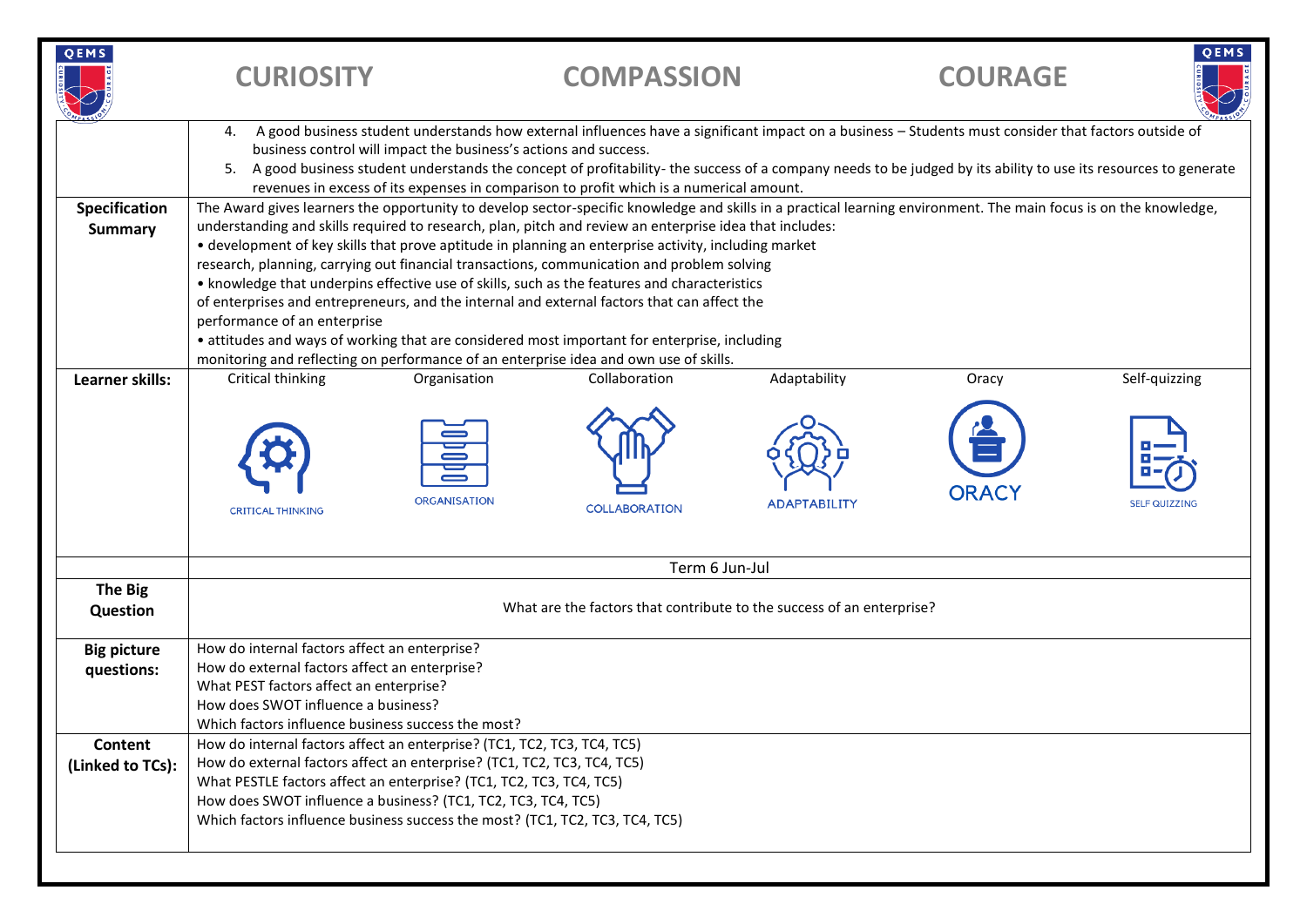| 4. A good business student understands how external influences have a significant impact on a business - Students must consider that factors outside of<br>business control will impact the business's actions and success.<br>A good business student understands the concept of profitability- the success of a company needs to be judged by its ability to use its resources to generate<br>revenues in excess of its expenses in comparison to profit which is a numerical amount.<br>The Award gives learners the opportunity to develop sector-specific knowledge and skills in a practical learning environment. The main focus is on the knowledge,<br>Specification<br>understanding and skills required to research, plan, pitch and review an enterprise idea that includes:<br><b>Summary</b><br>• development of key skills that prove aptitude in planning an enterprise activity, including market<br>research, planning, carrying out financial transactions, communication and problem solving<br>• knowledge that underpins effective use of skills, such as the features and characteristics<br>of enterprises and entrepreneurs, and the internal and external factors that can affect the<br>performance of an enterprise<br>• attitudes and ways of working that are considered most important for enterprise, including<br>monitoring and reflecting on performance of an enterprise idea and own use of skills.<br>Learner skills:<br>Critical thinking<br>Organisation<br><b>ORGANISATION</b><br><b>CRITICAL THINKING</b><br><b>The Big</b><br>Question<br>How do internal factors affect an enterprise?<br><b>Big picture</b><br>How do external factors affect an enterprise?<br>questions:<br>What PEST factors affect an enterprise?<br>How does SWOT influence a business?<br>Which factors influence business success the most? | Collaboration                                                                                                                                                                                                                                                                                                                                                              | Adaptability        | Oracy        | Self-quizzing        |  |  |  |  |  |
|-----------------------------------------------------------------------------------------------------------------------------------------------------------------------------------------------------------------------------------------------------------------------------------------------------------------------------------------------------------------------------------------------------------------------------------------------------------------------------------------------------------------------------------------------------------------------------------------------------------------------------------------------------------------------------------------------------------------------------------------------------------------------------------------------------------------------------------------------------------------------------------------------------------------------------------------------------------------------------------------------------------------------------------------------------------------------------------------------------------------------------------------------------------------------------------------------------------------------------------------------------------------------------------------------------------------------------------------------------------------------------------------------------------------------------------------------------------------------------------------------------------------------------------------------------------------------------------------------------------------------------------------------------------------------------------------------------------------------------------------------------------------------------------------------------------------------------------------------------------------|----------------------------------------------------------------------------------------------------------------------------------------------------------------------------------------------------------------------------------------------------------------------------------------------------------------------------------------------------------------------------|---------------------|--------------|----------------------|--|--|--|--|--|
|                                                                                                                                                                                                                                                                                                                                                                                                                                                                                                                                                                                                                                                                                                                                                                                                                                                                                                                                                                                                                                                                                                                                                                                                                                                                                                                                                                                                                                                                                                                                                                                                                                                                                                                                                                                                                                                                 |                                                                                                                                                                                                                                                                                                                                                                            |                     |              |                      |  |  |  |  |  |
|                                                                                                                                                                                                                                                                                                                                                                                                                                                                                                                                                                                                                                                                                                                                                                                                                                                                                                                                                                                                                                                                                                                                                                                                                                                                                                                                                                                                                                                                                                                                                                                                                                                                                                                                                                                                                                                                 |                                                                                                                                                                                                                                                                                                                                                                            |                     |              |                      |  |  |  |  |  |
|                                                                                                                                                                                                                                                                                                                                                                                                                                                                                                                                                                                                                                                                                                                                                                                                                                                                                                                                                                                                                                                                                                                                                                                                                                                                                                                                                                                                                                                                                                                                                                                                                                                                                                                                                                                                                                                                 | <b>COLLABORATION</b>                                                                                                                                                                                                                                                                                                                                                       | <b>ADAPTABILITY</b> | <b>ORACY</b> | <b>SELF QUIZZING</b> |  |  |  |  |  |
|                                                                                                                                                                                                                                                                                                                                                                                                                                                                                                                                                                                                                                                                                                                                                                                                                                                                                                                                                                                                                                                                                                                                                                                                                                                                                                                                                                                                                                                                                                                                                                                                                                                                                                                                                                                                                                                                 | Term 6 Jun-Jul                                                                                                                                                                                                                                                                                                                                                             |                     |              |                      |  |  |  |  |  |
|                                                                                                                                                                                                                                                                                                                                                                                                                                                                                                                                                                                                                                                                                                                                                                                                                                                                                                                                                                                                                                                                                                                                                                                                                                                                                                                                                                                                                                                                                                                                                                                                                                                                                                                                                                                                                                                                 | What are the factors that contribute to the success of an enterprise?                                                                                                                                                                                                                                                                                                      |                     |              |                      |  |  |  |  |  |
|                                                                                                                                                                                                                                                                                                                                                                                                                                                                                                                                                                                                                                                                                                                                                                                                                                                                                                                                                                                                                                                                                                                                                                                                                                                                                                                                                                                                                                                                                                                                                                                                                                                                                                                                                                                                                                                                 |                                                                                                                                                                                                                                                                                                                                                                            |                     |              |                      |  |  |  |  |  |
| <b>Content</b><br>(Linked to TCs):                                                                                                                                                                                                                                                                                                                                                                                                                                                                                                                                                                                                                                                                                                                                                                                                                                                                                                                                                                                                                                                                                                                                                                                                                                                                                                                                                                                                                                                                                                                                                                                                                                                                                                                                                                                                                              | How do internal factors affect an enterprise? (TC1, TC2, TC3, TC4, TC5)<br>How do external factors affect an enterprise? (TC1, TC2, TC3, TC4, TC5)<br>What PESTLE factors affect an enterprise? (TC1, TC2, TC3, TC4, TC5)<br>How does SWOT influence a business? (TC1, TC2, TC3, TC4, TC5)<br>Which factors influence business success the most? (TC1, TC2, TC3, TC4, TC5) |                     |              |                      |  |  |  |  |  |